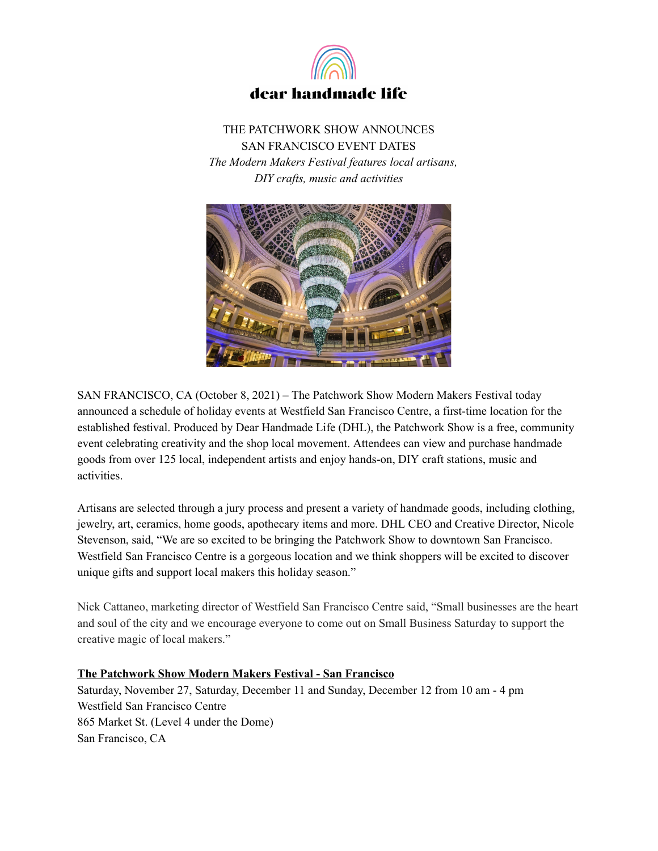

THE PATCHWORK SHOW ANNOUNCES SAN FRANCISCO EVENT DATES *The Modern Makers Festival features local artisans, DIY crafts, music and activities*



SAN FRANCISCO, CA (October 8, 2021) – The Patchwork Show Modern Makers Festival today announced a schedule of holiday events at Westfield San Francisco Centre, a first-time location for the established festival. Produced by Dear Handmade Life (DHL), the Patchwork Show is a free, community event celebrating creativity and the shop local movement. Attendees can view and purchase handmade goods from over 125 local, independent artists and enjoy hands-on, DIY craft stations, music and activities.

Artisans are selected through a jury process and present a variety of handmade goods, including clothing, jewelry, art, ceramics, home goods, apothecary items and more. DHL CEO and Creative Director, Nicole Stevenson, said, "We are so excited to be bringing the Patchwork Show to downtown San Francisco. Westfield San Francisco Centre is a gorgeous location and we think shoppers will be excited to discover unique gifts and support local makers this holiday season."

Nick Cattaneo, marketing director of Westfield San Francisco Centre said, "Small businesses are the heart and soul of the city and we encourage everyone to come out on Small Business Saturday to support the creative magic of local makers."

## **The Patchwork Show Modern Makers Festival - San Francisco**

Saturday, November 27, Saturday, December 11 and Sunday, December 12 from 10 am - 4 pm Westfield San Francisco Centre 865 Market St. (Level 4 under the Dome) San Francisco, CA